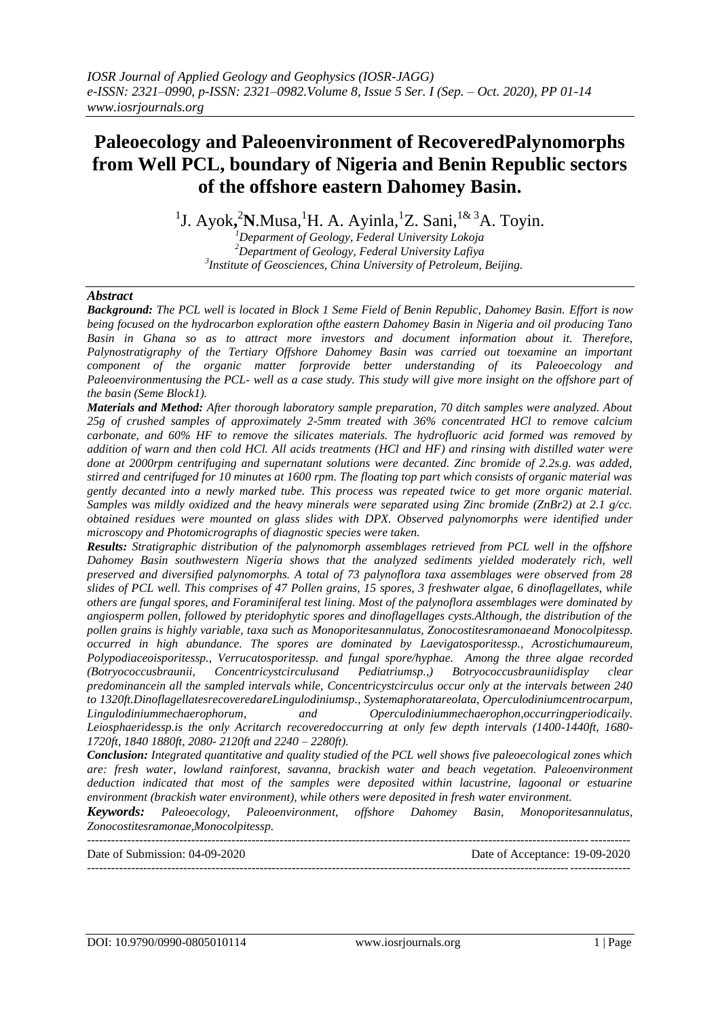# **Paleoecology and Paleoenvironment of RecoveredPalynomorphs from Well PCL, boundary of Nigeria and Benin Republic sectors of the offshore eastern Dahomey Basin.**

<sup>1</sup>J. Ayok,<sup>2</sup>N.Musa,<sup>1</sup>H. A. Ayinla,<sup>1</sup>Z. Sani,<sup>1& 3</sup>A. Toyin.

*<sup>1</sup>Deparment of Geology, Federal University Lokoja <sup>2</sup>Department of Geology, Federal University Lafiya 3 Institute of Geosciences, China University of Petroleum, Beijing.*

# *Abstract*

*Background: The PCL well is located in Block 1 Seme Field of Benin Republic, Dahomey Basin. Effort is now being focused on the hydrocarbon exploration ofthe eastern Dahomey Basin in Nigeria and oil producing Tano Basin in Ghana so as to attract more investors and document information about it. Therefore, Palynostratigraphy of the Tertiary Offshore Dahomey Basin was carried out toexamine an important component of the organic matter forprovide better understanding of its Paleoecology and Paleoenvironmentusing the PCL- well as a case study. This study will give more insight on the offshore part of the basin (Seme Block1).*

*Materials and Method: After thorough laboratory sample preparation, 70 ditch samples were analyzed. About 25g of crushed samples of approximately 2-5mm treated with 36% concentrated HCl to remove calcium carbonate, and 60% HF to remove the silicates materials. The hydrofluoric acid formed was removed by addition of warn and then cold HCl. All acids treatments (HCl and HF) and rinsing with distilled water were done at 2000rpm centrifuging and supernatant solutions were decanted. Zinc bromide of 2.2s.g. was added, stirred and centrifuged for 10 minutes at 1600 rpm. The floating top part which consists of organic material was gently decanted into a newly marked tube. This process was repeated twice to get more organic material. Samples was mildly oxidized and the heavy minerals were separated using Zinc bromide (ZnBr2) at 2.1 g/cc. obtained residues were mounted on glass slides with DPX. Observed palynomorphs were identified under microscopy and Photomicrographs of diagnostic species were taken.*

*Results: Stratigraphic distribution of the palynomorph assemblages retrieved from PCL well in the offshore Dahomey Basin southwestern Nigeria shows that the analyzed sediments yielded moderately rich, well preserved and diversified palynomorphs. A total of 73 palynoflora taxa assemblages were observed from 28 slides of PCL well. This comprises of 47 Pollen grains, 15 spores, 3 freshwater algae, 6 dinoflagellates, while others are fungal spores, and Foraminiferal test lining. Most of the palynoflora assemblages were dominated by angiosperm pollen, followed by pteridophytic spores and dinoflagellages cysts.Although, the distribution of the pollen grains is highly variable, taxa such as Monoporitesannulatus, Zonocostitesramonaeand Monocolpitessp. occurred in high abundance. The spores are dominated by Laevigatosporitessp., Acrostichumaureum, Polypodiaceoisporitessp., Verrucatosporitessp. and fungal spore/hyphae. Among the three algae recorded (Botryococcusbraunii, Concentricystcirculusand Pediatriumsp.,) Botryococcusbrauniidisplay clear predominancein all the sampled intervals while, Concentricystcirculus occur only at the intervals between 240 to 1320ft.DinoflagellatesrecoveredareLingulodiniumsp., Systemaphoratareolata, Operculodiniumcentrocarpum, Lingulodiniummechaerophorum, and Operculodiniummechaerophon,occurringperiodicaily. Leiosphaeridessp.is the only Acritarch recoveredoccurring at only few depth intervals (1400-1440ft, 1680- 1720ft, 1840 1880ft, 2080- 2120ft and 2240 – 2280ft).*

*Conclusion: Integrated quantitative and quality studied of the PCL well shows five paleoecological zones which are: fresh water, lowland rainforest, savanna, brackish water and beach vegetation. Paleoenvironment deduction indicated that most of the samples were deposited within lacustrine, lagoonal or estuarine environment (brackish water environment), while others were deposited in fresh water environment.*

*Keywords: Paleoecology, Paleoenvironment, offshore Dahomey Basin, Monoporitesannulatus, Zonocostitesramonae,Monocolpitessp.*

Date of Submission: 04-09-2020 Date of Acceptance: 19-09-2020

---------------------------------------------------------------------------------------------------------------------------------------

---------------------------------------------------------------------------------------------------------------------------------------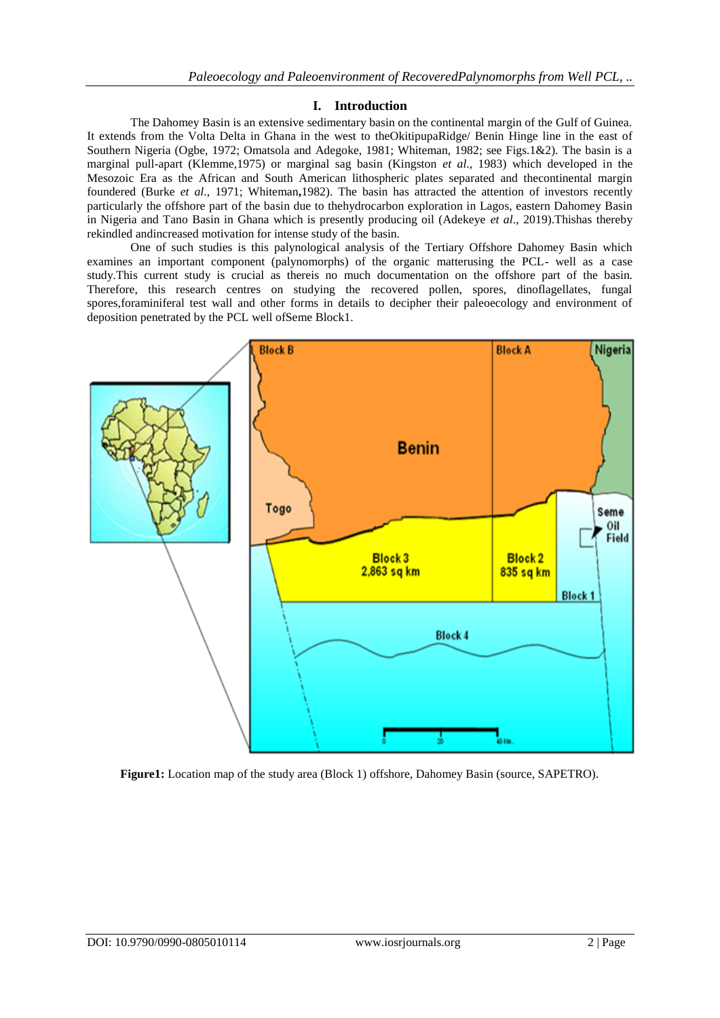# **I. Introduction**

The Dahomey Basin is an extensive sedimentary basin on the continental margin of the Gulf of Guinea. It extends from the Volta Delta in Ghana in the west to theOkitipupaRidge/ Benin Hinge line in the east of Southern Nigeria (Ogbe, 1972; Omatsola and Adegoke, 1981; Whiteman, 1982; see Figs.1&2). The basin is a marginal pull-apart (Klemme,1975) or marginal sag basin (Kingston *et al*., 1983) which developed in the Mesozoic Era as the African and South American lithospheric plates separated and thecontinental margin foundered (Burke *et al*., 1971; Whiteman**,**1982). The basin has attracted the attention of investors recently particularly the offshore part of the basin due to thehydrocarbon exploration in Lagos, eastern Dahomey Basin in Nigeria and Tano Basin in Ghana which is presently producing oil (Adekeye *et al*., 2019).Thishas thereby rekindled andincreased motivation for intense study of the basin.

One of such studies is this palynological analysis of the Tertiary Offshore Dahomey Basin which examines an important component (palynomorphs) of the organic matterusing the PCL- well as a case study.This current study is crucial as thereis no much documentation on the offshore part of the basin. Therefore, this research centres on studying the recovered pollen, spores, dinoflagellates, fungal spores,foraminiferal test wall and other forms in details to decipher their paleoecology and environment of deposition penetrated by the PCL well ofSeme Block1.



**Figure1:** Location map of the study area (Block 1) offshore, Dahomey Basin (source, SAPETRO).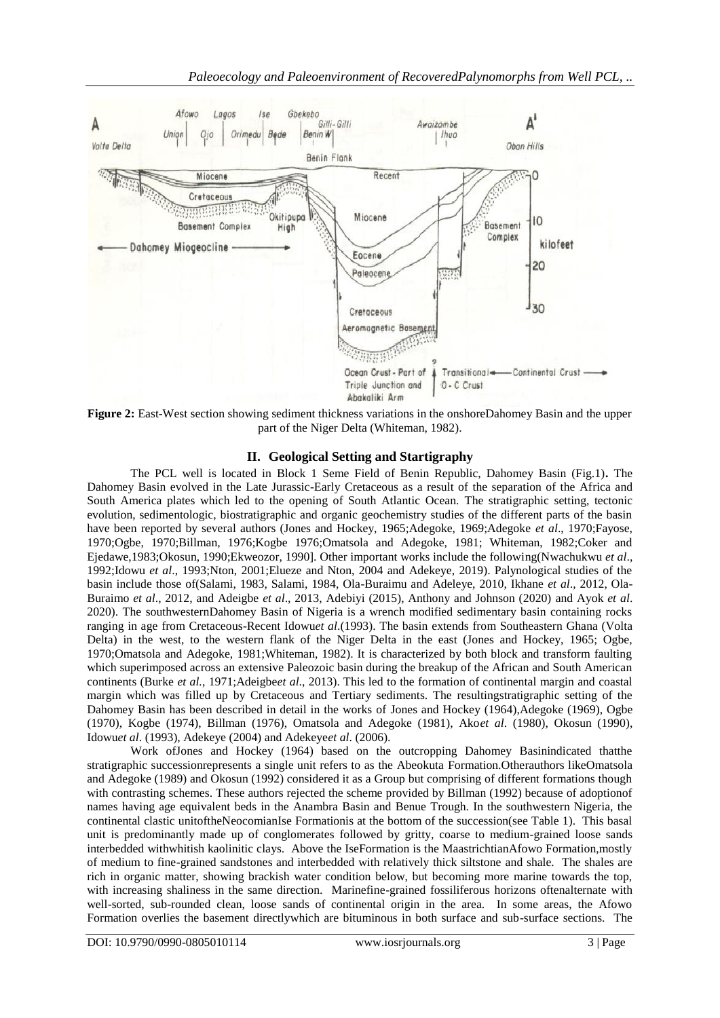

**Figure 2:** East-West section showing sediment thickness variations in the onshoreDahomey Basin and the upper part of the Niger Delta (Whiteman, 1982).

# **II. Geological Setting and Startigraphy**

The PCL well is located in Block 1 Seme Field of Benin Republic, Dahomey Basin (Fig.1)**.** The Dahomey Basin evolved in the Late Jurassic-Early Cretaceous as a result of the separation of the Africa and South America plates which led to the opening of South Atlantic Ocean. The stratigraphic setting, tectonic evolution, sedimentologic, biostratigraphic and organic geochemistry studies of the different parts of the basin have been reported by several authors (Jones and Hockey, 1965;Adegoke, 1969;Adegoke *et al*., 1970;Fayose, 1970;Ogbe, 1970;Billman, 1976;Kogbe 1976;Omatsola and Adegoke, 1981; Whiteman, 1982;Coker and Ejedawe,1983;Okosun, 1990;Ekweozor, 1990]. Other important works include the following(Nwachukwu *et al*., 1992;Idowu *et al*., 1993;Nton, 2001;Elueze and Nton, 2004 and Adekeye, 2019). Palynological studies of the basin include those of(Salami, 1983, Salami, 1984, Ola-Buraimu and Adeleye, 2010, Ikhane *et al*., 2012, Ola-Buraimo *et al*., 2012, and Adeigbe *et al*., 2013, Adebiyi (2015), Anthony and Johnson (2020) and Ayok *et al*. 2020). The southwesternDahomey Basin of Nigeria is a wrench modified sedimentary basin containing rocks ranging in age from Cretaceous-Recent Idowu*et al*.(1993). The basin extends from Southeastern Ghana (Volta Delta) in the west, to the western flank of the Niger Delta in the east (Jones and Hockey, 1965; Ogbe, 1970;Omatsola and Adegoke, 1981;Whiteman, 1982). It is characterized by both block and transform faulting which superimposed across an extensive Paleozoic basin during the breakup of the African and South American continents (Burke *et al.*, 1971;Adeigbe*et al*., 2013). This led to the formation of continental margin and coastal margin which was filled up by Cretaceous and Tertiary sediments. The resultingstratigraphic setting of the Dahomey Basin has been described in detail in the works of Jones and Hockey (1964),Adegoke (1969), Ogbe (1970), Kogbe (1974), Billman (1976), Omatsola and Adegoke (1981), Ako*et al*. (1980), Okosun (1990), Idowu*et al*. (1993), Adekeye (2004) and Adekeye*et al*. (2006).

Work ofJones and Hockey (1964) based on the outcropping Dahomey Basinindicated thatthe stratigraphic successionrepresents a single unit refers to as the Abeokuta Formation.Otherauthors likeOmatsola and Adegoke (1989) and Okosun (1992) considered it as a Group but comprising of different formations though with contrasting schemes. These authors rejected the scheme provided by Billman (1992) because of adoptionof names having age equivalent beds in the Anambra Basin and Benue Trough. In the southwestern Nigeria, the continental clastic unitoftheNeocomianIse Formationis at the bottom of the succession(see Table 1). This basal unit is predominantly made up of conglomerates followed by gritty, coarse to medium-grained loose sands interbedded withwhitish kaolinitic clays. Above the IseFormation is the MaastrichtianAfowo Formation,mostly of medium to fine-grained sandstones and interbedded with relatively thick siltstone and shale. The shales are rich in organic matter, showing brackish water condition below, but becoming more marine towards the top, with increasing shaliness in the same direction. Marinefine-grained fossiliferous horizons oftenalternate with well-sorted, sub-rounded clean, loose sands of continental origin in the area. In some areas, the Afowo Formation overlies the basement directlywhich are bituminous in both surface and sub-surface sections. The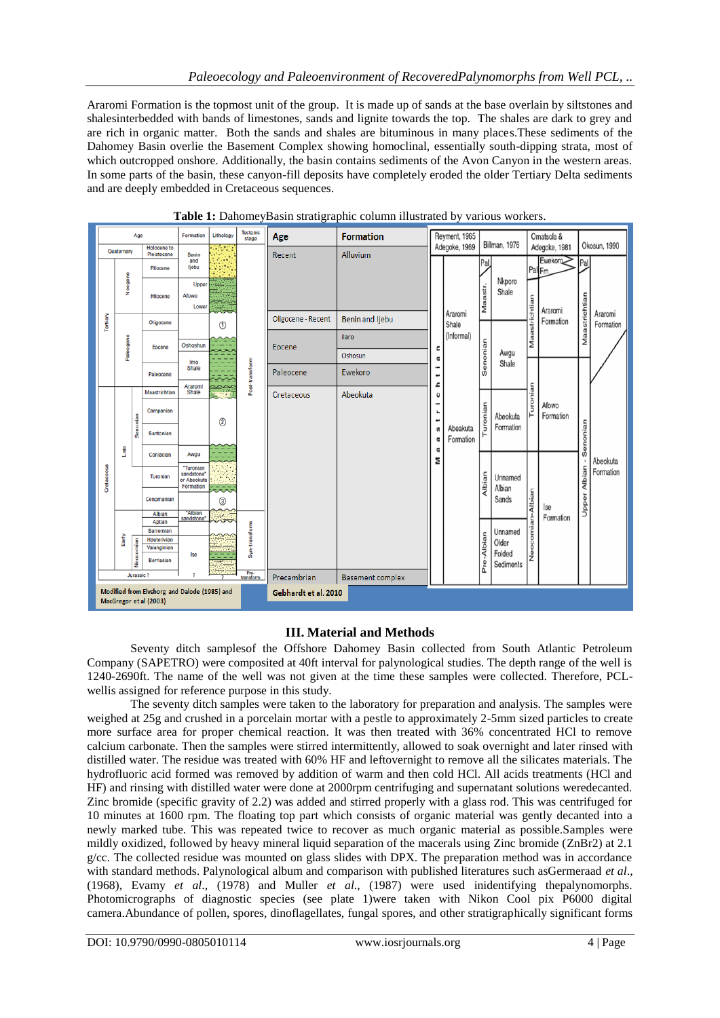Araromi Formation is the topmost unit of the group. It is made up of sands at the base overlain by siltstones and shalesinterbedded with bands of limestones, sands and lignite towards the top. The shales are dark to grey and are rich in organic matter. Both the sands and shales are bituminous in many places.These sediments of the Dahomey Basin overlie the Basement Complex showing homoclinal, essentially south-dipping strata, most of which outcropped onshore. Additionally, the basin contains sediments of the Avon Canyon in the western areas. In some parts of the basin, these canyon-fill deposits have completely eroded the older Tertiary Delta sediments and are deeply embedded in Cretaceous sequences.

| Age                                  |                                                                        |                            | Formation                 | Lithology                              | <b>Tectonic</b><br>stage | Age            | <b>Formation</b>        |                        | Reyment, 1965                                                 |                        |                 |                               | Omatsola & |                    |                             |                       |
|--------------------------------------|------------------------------------------------------------------------|----------------------------|---------------------------|----------------------------------------|--------------------------|----------------|-------------------------|------------------------|---------------------------------------------------------------|------------------------|-----------------|-------------------------------|------------|--------------------|-----------------------------|-----------------------|
| Quatornary                           |                                                                        | Holocene to<br>Pleistocene | <b>Benin</b><br>and       |                                        |                          | Recent         | Alluvium                | Adegoke, 1969          |                                                               | Billman, 1976          |                 | Adegoke, 1981<br>Ewekoro-     |            | Okosun, 1990       |                             |                       |
| Tertiary                             |                                                                        |                            | Pliocene                  | ljebu                                  |                          |                |                         |                        | Araromi                                                       |                        | Pal             |                               |            | PalFm              | Pal                         |                       |
|                                      | Neogene                                                                |                            | Miocene                   | Upper<br>Afowo<br>Lower                | $^{\circ}$               |                |                         |                        |                                                               | Maastr.                | Nkporo<br>Shale | Maastrichtian                 | Araromi    |                    |                             |                       |
|                                      | Paleogene                                                              |                            | Oligocene                 |                                        |                          | Post-transform | Oligocene - Recent      | <b>Benin and Ijebu</b> |                                                               | Shale                  |                 |                               |            | Formation          | Maastrichtian               | Araromi<br>Formation  |
|                                      |                                                                        |                            | Eocene                    | Oshoshun                               |                          |                | Eocene                  | Ilaro                  | c<br>Œ                                                        | (Informal)<br>Senonian |                 | Awgu<br>Shale                 |            |                    |                             |                       |
|                                      |                                                                        |                            |                           | Imo                                    |                          |                |                         | Oshosun                |                                                               |                        |                 |                               |            |                    |                             |                       |
|                                      |                                                                        |                            | Paleocene                 | Shale                                  |                          |                | Paleocene               | Ewekoro                | ⊷<br>ء                                                        |                        |                 |                               |            |                    |                             |                       |
|                                      | Late                                                                   |                            | Maastrichtian             | Araromi<br>Shale                       |                          |                | Cretaceous              | Abeokuta               | O<br>÷<br>۳<br>⊷<br>Abeakuta<br>S<br>Formation<br>G<br>G<br>Σ |                        |                 | Turonian                      |            |                    |                             |                       |
| Cretaceous                           |                                                                        |                            | Campanian                 |                                        | $\circled{2}$            |                |                         |                        |                                                               | Turonian<br>Albian     |                 | Abeokuta<br>Formation         |            | Afowo<br>Formation | Senonian<br>Albian<br>Upper |                       |
|                                      |                                                                        | Senonian                   | Santonian                 |                                        |                          |                |                         |                        |                                                               |                        |                 |                               |            |                    |                             |                       |
|                                      |                                                                        |                            | Coniacian                 | Awgu<br>"Turonian                      |                          |                |                         |                        |                                                               |                        |                 | Unnamed<br>Albian<br>Sands    | Albian     | Ise<br>Formation   |                             | Abeokuta<br>Formation |
|                                      |                                                                        |                            | <b>Turonian</b>           | sandstone*<br>or Abeokuta<br>Formation |                          |                |                         |                        |                                                               |                        |                 |                               |            |                    |                             |                       |
|                                      |                                                                        |                            | Conomanian                |                                        | 3                        |                |                         |                        |                                                               |                        |                 |                               |            |                    |                             |                       |
|                                      | Early                                                                  |                            | Albian<br>Aptian          | 'Albian<br>sandstone <sup>*</sup>      |                          |                |                         |                        |                                                               |                        |                 | Neocomian<br>Unnamed<br>Older |            |                    |                             |                       |
|                                      |                                                                        |                            | Barremian<br>Hauterivian  |                                        |                          | Syn-transform  |                         |                        |                                                               |                        |                 |                               |            |                    |                             |                       |
|                                      |                                                                        | Neocomian                  | Valanginian<br>Berriasian | Ise                                    |                          |                |                         |                        |                                                               |                        | Pre-Albian      | Folded                        |            |                    |                             |                       |
| Pre-<br>transform<br>Jurassic ?<br>, |                                                                        |                            |                           |                                        |                          | Precambrian    | <b>Basement complex</b> |                        |                                                               |                        | Sediments       |                               |            |                    |                             |                       |
|                                      | Modified from Elvsborg and Dalode (1985) and<br>MacGregor et al (2003) |                            |                           |                                        |                          |                | Gebhardt et al. 2010    |                        |                                                               |                        |                 |                               |            |                    |                             |                       |



# **III. Material and Methods**

Seventy ditch samplesof the Offshore Dahomey Basin collected from South Atlantic Petroleum Company (SAPETRO) were composited at 40ft interval for palynological studies. The depth range of the well is 1240-2690ft. The name of the well was not given at the time these samples were collected. Therefore, PCLwellis assigned for reference purpose in this study.

The seventy ditch samples were taken to the laboratory for preparation and analysis. The samples were weighed at 25g and crushed in a porcelain mortar with a pestle to approximately 2-5mm sized particles to create more surface area for proper chemical reaction. It was then treated with 36% concentrated HCl to remove calcium carbonate. Then the samples were stirred intermittently, allowed to soak overnight and later rinsed with distilled water. The residue was treated with 60% HF and leftovernight to remove all the silicates materials. The hydrofluoric acid formed was removed by addition of warm and then cold HCl. All acids treatments (HCl and HF) and rinsing with distilled water were done at 2000rpm centrifuging and supernatant solutions weredecanted. Zinc bromide (specific gravity of 2.2) was added and stirred properly with a glass rod. This was centrifuged for 10 minutes at 1600 rpm. The floating top part which consists of organic material was gently decanted into a newly marked tube. This was repeated twice to recover as much organic material as possible.Samples were mildly oxidized, followed by heavy mineral liquid separation of the macerals using Zinc bromide (ZnBr2) at 2.1 g/cc. The collected residue was mounted on glass slides with DPX. The preparation method was in accordance with standard methods. Palynological album and comparison with published literatures such asGermeraad *et al*., (1968), Evamy *et al*., (1978) and Muller *et al*., (1987) were used inidentifying thepalynomorphs. Photomicrographs of diagnostic species (see plate 1)were taken with Nikon Cool pix P6000 digital camera.Abundance of pollen, spores, dinoflagellates, fungal spores, and other stratigraphically significant forms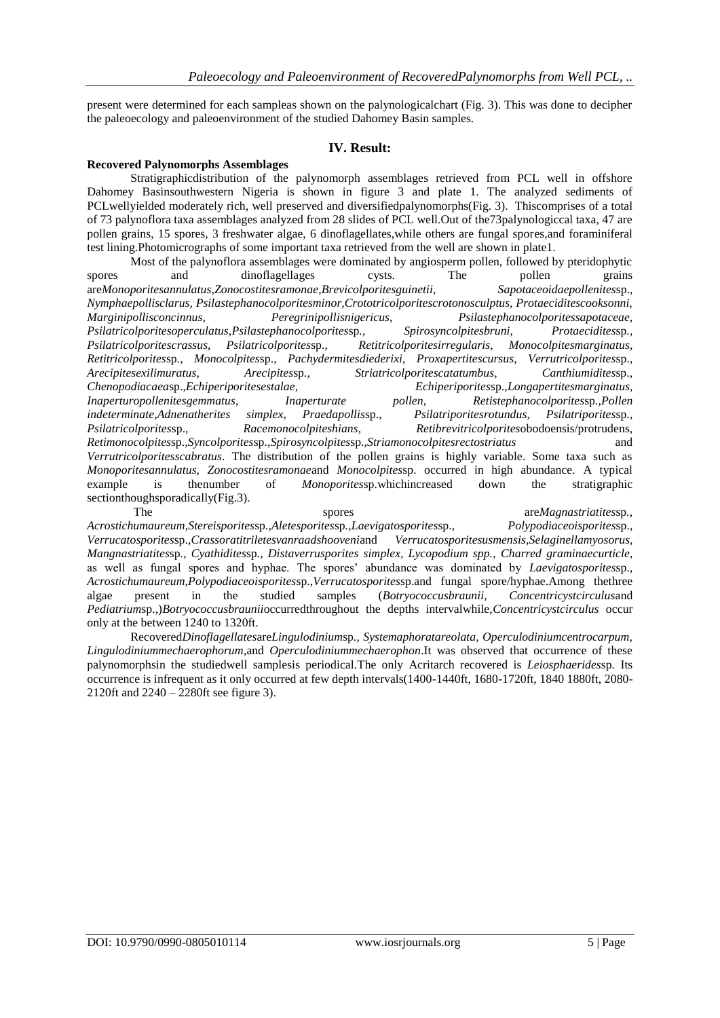present were determined for each sampleas shown on the palynologicalchart (Fig. 3). This was done to decipher the paleoecology and paleoenvironment of the studied Dahomey Basin samples.

#### **IV. Result:**

#### **Recovered Palynomorphs Assemblages**

Stratigraphicdistribution of the palynomorph assemblages retrieved from PCL well in offshore Dahomey Basinsouthwestern Nigeria is shown in figure 3 and plate 1. The analyzed sediments of PCLwellyielded moderately rich, well preserved and diversifiedpalynomorphs(Fig. 3). Thiscomprises of a total of 73 palynoflora taxa assemblages analyzed from 28 slides of PCL well.Out of the73palynologiccal taxa, 47 are pollen grains, 15 spores, 3 freshwater algae, 6 dinoflagellates,while others are fungal spores,and foraminiferal test lining.Photomicrographs of some important taxa retrieved from the well are shown in plate1.

Most of the palynoflora assemblages were dominated by angiosperm pollen, followed by pteridophytic spores and dinoflagellages cysts. The pollen grains are*Monoporitesannulatus*,*Zonocostitesramonae*,*Brevicolporitesguinetii*, *Sapotaceoidaepollenites*sp., *Nymphaepollisclarus, Psilastephanocolporitesminor,Crototricolporitescrotonosculptus, Protaeciditescooksonni, Marginipollisconcinnus, Peregrinipollisnigericus, Psilastephanocolporitessapotaceae, Psilatricolporitesoperculatus,Psilastephanocolporites*sp*., Spirosyncolpitesbruni, Protaecidites*sp*., Psilatricolporitescrassus*, *Psilatricolporites*sp., *Retitricolporitesirregularis*, *Monocolpitesmarginatus*, *Retitricolporites*sp*., Monocolpites*sp., *Pachydermitesdiederixi*, *Proxapertitescursus*, *Verrutricolporites*sp., *Arecipitesexilimuratus*, *Arecipites*sp*.*, *Striatricolporitescatatumbus*, *Canthiumidites*sp., *Chenopodiacaea*sp.,*Echiperiporitesestalae*, *Echiperiporites*sp.,*Longapertitesmarginatus, Inaperturopollenitesgemmatus*, *Inaperturate pollen, Retistephanocolporites*sp*.,Pollen indeterminate*,*Adnenatherites simplex*, *Praedapollis*sp., *Psilatriporitesrotundus*, *Psilatriporites*sp*., Psilatricolporites*sp., *Racemonocolpiteshians*, *Retibrevitricolporites*obodoensis/protrudens, *Retimonocolpites*sp.,*Syncolporites*sp.,*Spirosyncolpites*sp.,*Striamonocolpitesrectostriatus* and *Verrutricolporitesscabratus*. The distribution of the pollen grains is highly variable. Some taxa such as *Monoporitesannulatus, Zonocostitesramonae*and *Monocolpites*sp. occurred in high abundance. A typical example is thenumber of *Monoporites*sp.whichincreased down the stratigraphic sectionthoughsporadically(Fig.3). The spores spores are*Magnastriatitessp*,

*Acrostichumaureum*,*Stereisporites*sp*.,Aletesporites*sp*.,Laevigatosporites*sp., *Polypodiaceoisporites*sp., *Verrucatosporites*sp.,*Crassoratitriletesvanraadshooveni*and *Verrucatosporitesusmensis*,*Selaginellamyosorus, Mangnastriatites*sp*., Cyathidites*sp*., Distaverrusporites simplex, Lycopodium spp., Charred graminaecurticle*, as well as fungal spores and hyphae. The spores' abundance was dominated by *Laevigatosporites*sp., *Acrostichumaureum,Polypodiaceoisporites*sp.,*Verrucatosporites*sp.and fungal spore/hyphae.Among thethree algae present in the studied samples (*Botryococcusbraunii, Concentricystcirculus*and *Pediatrium*sp.,)*Botryococcusbraunii*occurredthroughout the depths intervalwhile,*Concentricystcirculus* occur only at the between 1240 to 1320ft.

Recovered*Dinoflagellates*are*Lingulodinium*sp*., Systemaphoratareolata, Operculodiniumcentrocarpum, Lingulodiniummechaerophorum*,and *Operculodiniummechaerophon*.It was observed that occurrence of these palynomorphsin the studiedwell samplesis periodical.The only Acritarch recovered is *Leiosphaerides*sp*.* Its occurrence is infrequent as it only occurred at few depth intervals(1400-1440ft, 1680-1720ft, 1840 1880ft, 2080- 2120ft and 2240 – 2280ft see figure 3).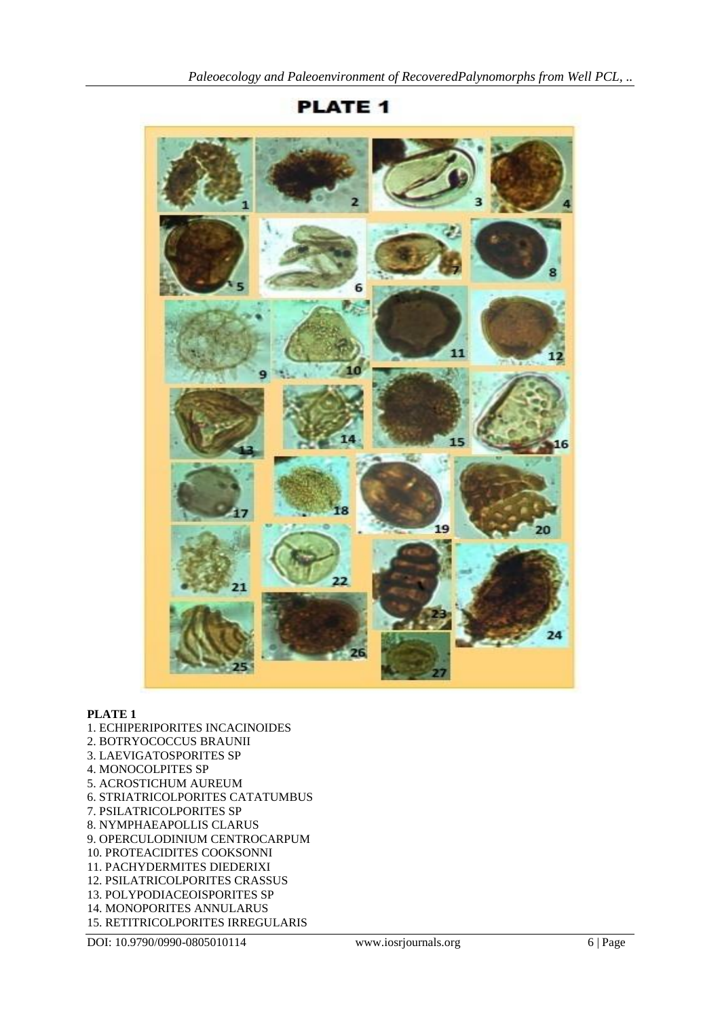

# **PLATE 1**

# **PLATE 1**

- 1. ECHIPERIPORITES INCACINOIDES
- 2. BOTRYOCOCCUS BRAUNII
- 3. LAEVIGATOSPORITES SP
- 4. MONOCOLPITES SP
- 5. ACROSTICHUM AUREUM
- 6. STRIATRICOLPORITES CATATUMBUS
- 7. PSILATRICOLPORITES SP
- 8. NYMPHAEAPOLLIS CLARUS
- 9. OPERCULODINIUM CENTROCARPUM
- 10. PROTEACIDITES COOKSONNI
- 11. PACHYDERMITES DIEDERIXI
- 12. PSILATRICOLPORITES CRASSUS
- 13. POLYPODIACEOISPORITES SP
- 14. MONOPORITES ANNULARUS
- 15. RETITRICOLPORITES IRREGULARIS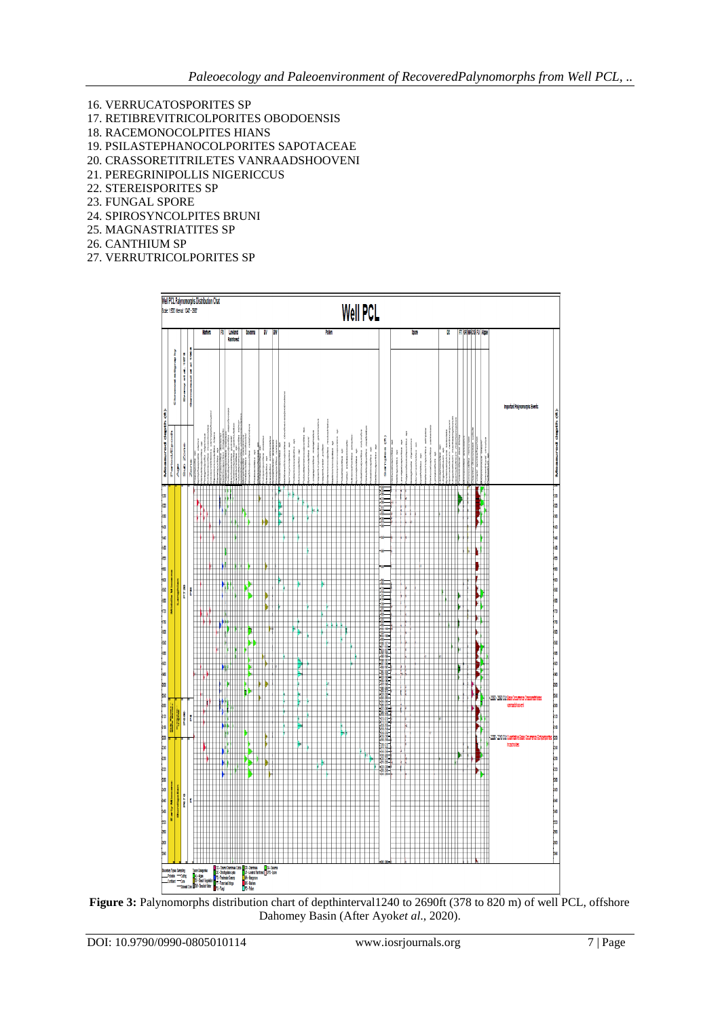- 16. VERRUCATOSPORITES SP
- 17. RETIBREVITRICOLPORITES OBODOENSIS
- 18. RACEMONOCOLPITES HIANS
- 19. PSILASTEPHANOCOLPORITES SAPOTACEAE
- 20. CRASSORETITRILETES VANRAADSHOOVENI
- 21. PEREGRINIPOLLIS NIGERICCUS 22. STEREISPORITES SP
- 23. FUNGAL SPORE
- 24. SPIROSYNCOLPITES BRUNI
- 25. MAGNASTRIATITES SP
- 26. CANTHIUM SP
- 27. VERRUTRICOLPORITES SP



**Figure 3:** Palynomorphs distribution chart of depthinterval1240 to 2690ft (378 to 820 m) of well PCL, offshore Dahomey Basin (After Ayok*et al*., 2020).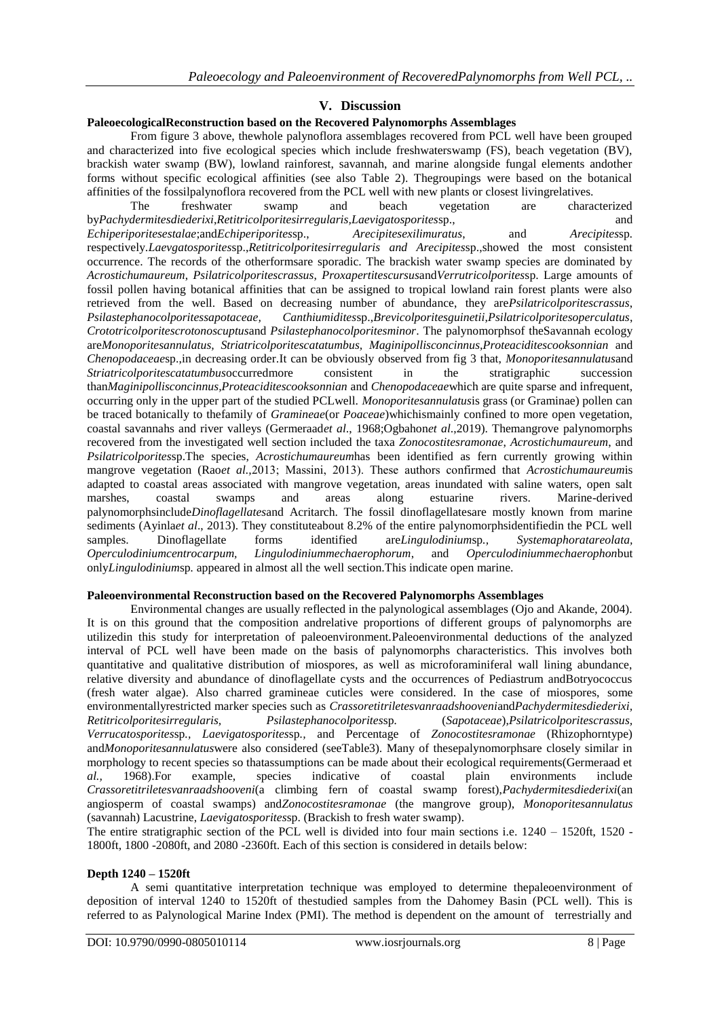# **V. Discussion**

#### **PaleoecologicalReconstruction based on the Recovered Palynomorphs Assemblages**

From figure 3 above, thewhole palynoflora assemblages recovered from PCL well have been grouped and characterized into five ecological species which include freshwaterswamp (FS), beach vegetation (BV), brackish water swamp (BW), lowland rainforest, savannah, and marine alongside fungal elements andother forms without specific ecological affinities (see also Table 2). Thegroupings were based on the botanical affinities of the fossilpalynoflora recovered from the PCL well with new plants or closest livingrelatives.

The freshwater swamp and beach vegetation are characterized by*Pachydermitesdiederixi*,*Retitricolporitesirregularis,Laevigatosporites*sp., and *Echiperiporitesestalae*;and*Echiperiporites*sp., *Arecipitesexilimuratus*, and *Arecipites*sp*.*  respectively.*Laevgatosporites*sp.,*Retitricolporitesirregularis and Arecipites*sp.,showed the most consistent occurrence. The records of the otherformsare sporadic. The brackish water swamp species are dominated by *Acrostichumaureum*, *Psilatricolporitescrassus*, *Proxapertitescursus*and*Verrutricolporites*sp. Large amounts of fossil pollen having botanical affinities that can be assigned to tropical lowland rain forest plants were also retrieved from the well. Based on decreasing number of abundance, they are*Psilatricolporitescrassus*, *Psilastephanocolporitessapotaceae, Canthiumidites*sp.,*Brevicolporitesguinetii*,*Psilatricolporitesoperculatus*, *Crototricolporitescrotonoscuptus*and *Psilastephanocolporitesminor*. The palynomorphsof theSavannah ecology are*Monoporitesannulatus, Striatricolporitescatatumbus, Maginipollisconcinnus,Proteaciditescooksonnian* and *Chenopodaceae*sp.,in decreasing order.It can be obviously observed from fig 3 that, *Monoporitesannulatus*and *Striatricolporitescatatumbus*occurredmore consistent in the stratigraphic succession than*Maginipollisconcinnus,Proteaciditescooksonnian* and *Chenopodaceae*which are quite sparse and infrequent, occurring only in the upper part of the studied PCLwell. *Monoporitesannulatus*is grass (or Graminae) pollen can be traced botanically to thefamily of *Gramineae*(or *Poaceae*)whichismainly confined to more open vegetation, coastal savannahs and river valleys (Germeraad*et al*., 1968;Ogbahon*et al*.,2019). Themangrove palynomorphs recovered from the investigated well section included the taxa *Zonocostitesramonae*, *Acrostichumaureum*, and *Psilatricolporites*sp.The species, *Acrostichumaureum*has been identified as fern currently growing within mangrove vegetation (Rao*et al.,*2013; Massini, 2013). These authors confirmed that *Acrostichumaureum*is adapted to coastal areas associated with mangrove vegetation, areas inundated with saline waters, open salt marshes, coastal swamps and areas along estuarine rivers. Marine-derived palynomorphsinclude*Dinoflagellates*and Acritarch. The fossil dinoflagellatesare mostly known from marine sediments (Ayinla*et al*., 2013). They constituteabout 8.2% of the entire palynomorphsidentifiedin the PCL well samples. Dinoflagellate forms identified are*Lingulodinium*sp*., Systemaphoratareolata, Operculodiniumcentrocarpum, Lingulodiniummechaerophorum*, and *Operculodiniummechaerophon*but only*Lingulodinium*sp*.* appeared in almost all the well section.This indicate open marine.

## **Paleoenvironmental Reconstruction based on the Recovered Palynomorphs Assemblages**

Environmental changes are usually reflected in the palynological assemblages (Ojo and Akande, 2004). It is on this ground that the composition andrelative proportions of different groups of palynomorphs are utilizedin this study for interpretation of paleoenvironment.Paleoenvironmental deductions of the analyzed interval of PCL well have been made on the basis of palynomorphs characteristics. This involves both quantitative and qualitative distribution of miospores, as well as microforaminiferal wall lining abundance, relative diversity and abundance of dinoflagellate cysts and the occurrences of Pediastrum andBotryococcus (fresh water algae). Also charred gramineae cuticles were considered. In the case of miospores, some environmentallyrestricted marker species such as *Crassoretitriletesvanraadshooveni*and*Pachydermitesdiederixi, Retitricolporitesirregularis, Psilastephanocolporites*sp*.* (*Sapotaceae*),*Psilatricolporitescrassus, Verrucatosporites*sp*., Laevigatosporites*sp*.,* and Percentage of *Zonocostitesramonae* (Rhizophorntype) and*Monoporitesannulatus*were also considered (seeTable3). Many of thesepalynomorphsare closely similar in morphology to recent species so thatassumptions can be made about their ecological requirements(Germeraad et *al.,* 1968).For example, species indicative of coastal plain environments include *Crassoretitriletesvanraadshooveni*(a climbing fern of coastal swamp forest),*Pachydermitesdiederixi*(an angiosperm of coastal swamps) and*Zonocostitesramonae* (the mangrove group), *Monoporitesannulatus* (savannah) Lacustrine, *Laevigatosporites*sp. (Brackish to fresh water swamp).

The entire stratigraphic section of the PCL well is divided into four main sections i.e. 1240 – 1520ft, 1520 - 1800ft, 1800 -2080ft, and 2080 -2360ft. Each of this section is considered in details below:

### **Depth 1240 – 1520ft**

A semi quantitative interpretation technique was employed to determine thepaleoenvironment of deposition of interval 1240 to 1520ft of thestudied samples from the Dahomey Basin (PCL well). This is referred to as Palynological Marine Index (PMI). The method is dependent on the amount of terrestrially and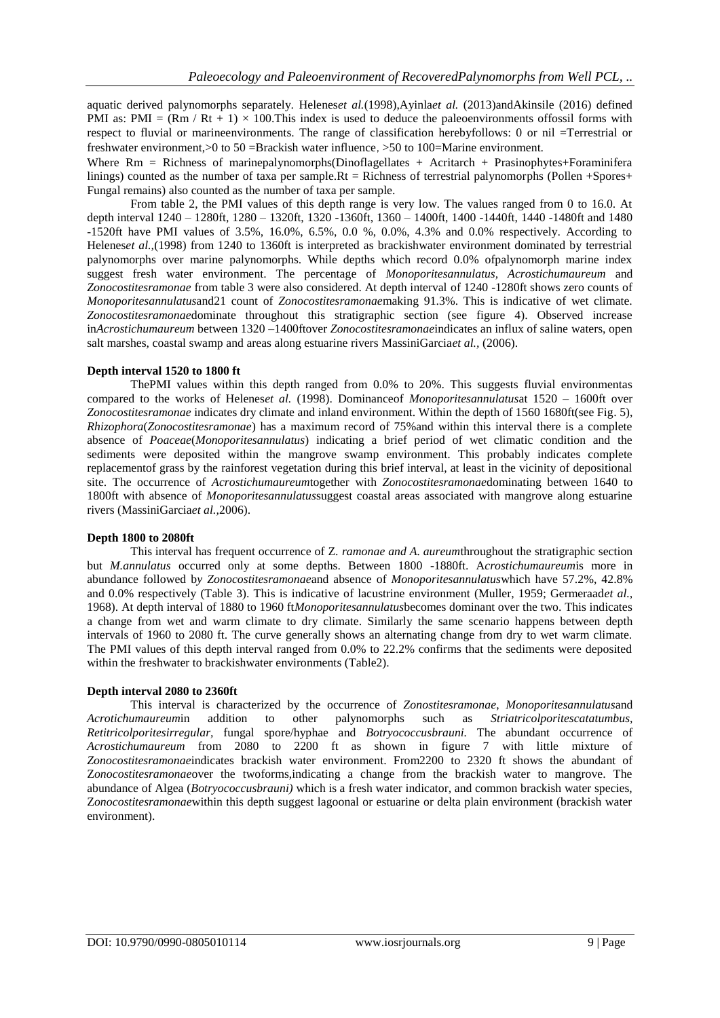aquatic derived palynomorphs separately. Helenes*et al.*(1998),Ayinla*et al.* (2013)andAkinsile (2016) defined PMI as: PMI =  $(Rm / Rt + 1) \times 100$ . This index is used to deduce the paleoenvironments of fossil forms with respect to fluvial or marineenvironments. The range of classification herebyfollows: 0 or nil =Terrestrial or freshwater environment,>0 to 50 =Brackish water influence,>50 to 100=Marine environment.

Where  $Rm =$  Richness of marinepalynomorphs(Dinoflagellates + Acritarch + Prasinophytes+Foraminifera linings) counted as the number of taxa per sample.Rt = Richness of terrestrial palynomorphs (Pollen +Spores+ Fungal remains) also counted as the number of taxa per sample.

From table 2, the PMI values of this depth range is very low. The values ranged from 0 to 16.0. At depth interval  $1240 - 1280$ ft,  $1280 - 1320$ ft,  $1320 - 1360$ ft,  $1360 - 1400$ ft,  $1400 - 1440$ ft,  $1440 - 1480$ ft and  $1480$ -1520ft have PMI values of 3.5%, 16.0%, 6.5%, 0.0 %, 0.0%, 4.3% and 0.0% respectively. According to Helenes*et al.*,(1998) from 1240 to 1360ft is interpreted as brackishwater environment dominated by terrestrial palynomorphs over marine palynomorphs. While depths which record 0.0% ofpalynomorph marine index suggest fresh water environment. The percentage of *Monoporitesannulatus, Acrostichumaureum* and *Zonocostitesramonae* from table 3 were also considered. At depth interval of 1240 -1280ft shows zero counts of *Monoporitesannulatus*and21 count of *Zonocostitesramonae*making 91.3%. This is indicative of wet climate. *Zonocostitesramonae*dominate throughout this stratigraphic section (see figure 4). Observed increase in*Acrostichumaureum* between 1320 –1400ftover *Zonocostitesramonae*indicates an influx of saline waters, open salt marshes, coastal swamp and areas along estuarine rivers MassiniGarcia*et al.,* (2006).

## **Depth interval 1520 to 1800 ft**

ThePMI values within this depth ranged from 0.0% to 20%. This suggests fluvial environmentas compared to the works of Helenes*et al.* (1998). Dominanceof *Monoporitesannulatus*at 1520 – 1600ft over *Zonocostitesramonae* indicates dry climate and inland environment. Within the depth of 1560 1680ft(see Fig. 5), *Rhizophora*(*Zonocostitesramonae*) has a maximum record of 75%and within this interval there is a complete absence of *Poaceae*(*Monoporitesannulatus*) indicating a brief period of wet climatic condition and the sediments were deposited within the mangrove swamp environment. This probably indicates complete replacementof grass by the rainforest vegetation during this brief interval, at least in the vicinity of depositional site. The occurrence of *Acrostichumaureum*together with *Zonocostitesramonae*dominating between 1640 to 1800ft with absence of *Monoporitesannulatus*suggest coastal areas associated with mangrove along estuarine rivers (MassiniGarcia*et al.,*2006).

#### **Depth 1800 to 2080ft**

This interval has frequent occurrence of Z. *ramonae and A. aureum*throughout the stratigraphic section but *M.annulatus* occurred only at some depths. Between 1800 -1880ft. A*crostichumaureum*is more in abundance followed b*y Zonocostitesramonae*and absence of *Monoporitesannulatus*which have 57.2%, 42.8% and 0.0% respectively (Table 3). This is indicative of lacustrine environment (Muller, 1959; Germeraad*et al.,* 1968). At depth interval of 1880 to 1960 ft*Monoporitesannulatus*becomes dominant over the two. This indicates a change from wet and warm climate to dry climate. Similarly the same scenario happens between depth intervals of 1960 to 2080 ft. The curve generally shows an alternating change from dry to wet warm climate. The PMI values of this depth interval ranged from 0.0% to 22.2% confirms that the sediments were deposited within the freshwater to brackishwater environments (Table2).

#### **Depth interval 2080 to 2360ft**

This interval is characterized by the occurrence of *Zonostitesramonae*, *Monoporitesannulatus*and *Acrotichumaureum*in addition to other palynomorphs such as *Striatricolporitescatatumbus, Retitricolporitesirregular,* fungal spore/hyphae and *Botryococcusbrauni.* The abundant occurrence of *Acrostichumaureum* from 2080 to 2200 ft as shown in figure 7 with little mixture of *Zonocostitesramonae*indicates brackish water environment. From2200 to 2320 ft shows the abundant of Z*onocostitesramonae*over the twoforms,indicating a change from the brackish water to mangrove. The abundance of Algea (*Botryococcusbrauni)* which is a fresh water indicator, and common brackish water species, Z*onocostitesramonae*within this depth suggest lagoonal or estuarine or delta plain environment (brackish water environment).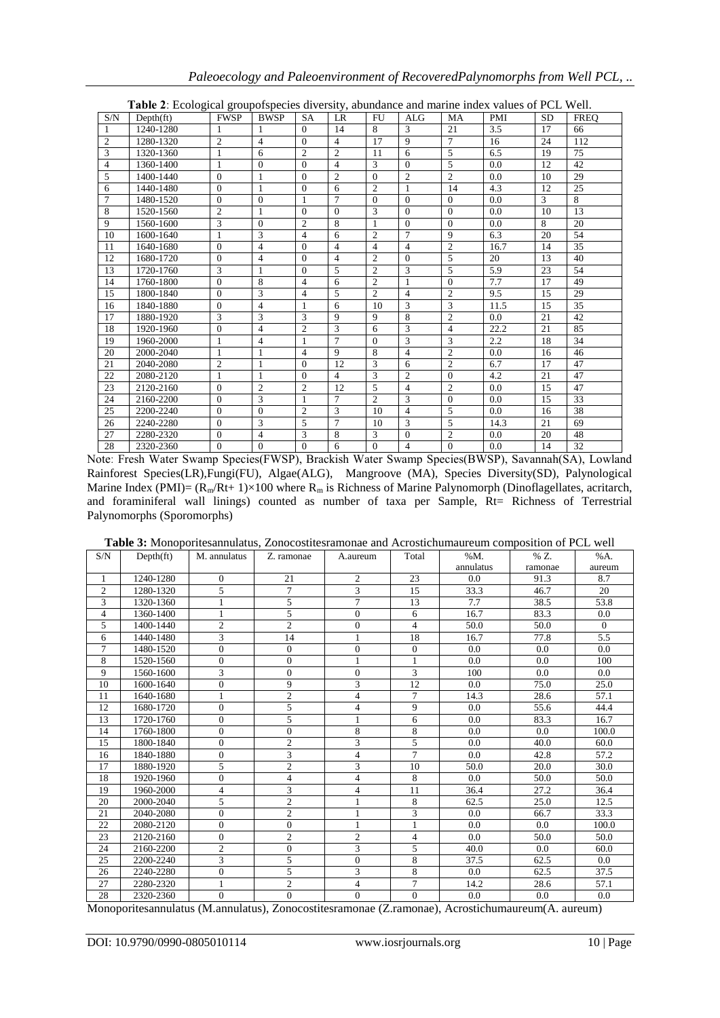| <b>Table 2</b> : Ecological grouporspecies diversity, abundance and marine index values of PCL Well. |                   |                |                |                |                |                |                |                |            |           |             |
|------------------------------------------------------------------------------------------------------|-------------------|----------------|----------------|----------------|----------------|----------------|----------------|----------------|------------|-----------|-------------|
| S/N                                                                                                  | $Depth({\rm ft})$ | <b>FWSP</b>    | <b>BWSP</b>    | <b>SA</b>      | <b>LR</b>      | <b>FU</b>      | <b>ALG</b>     | <b>MA</b>      | <b>PMI</b> | <b>SD</b> | <b>FREO</b> |
| 1                                                                                                    | 1240-1280         |                |                | $\Omega$       | 14             | 8              | 3              | 21             | 3.5        | 17        | 66          |
| $\mathfrak{2}$                                                                                       | 1280-1320         | $\overline{c}$ | $\overline{4}$ | $\Omega$       | $\overline{4}$ | 17             | 9              | $\overline{7}$ | 16         | 24        | 112         |
| 3                                                                                                    | 1320-1360         | 1              | 6              | $\overline{c}$ | $\overline{c}$ | 11             | 6              | 5              | 6.5        | 19        | 75          |
| $\overline{4}$                                                                                       | 1360-1400         | 1              | $\Omega$       | $\Omega$       | $\overline{4}$ | 3              | $\Omega$       | 5              | 0.0        | 12        | 42          |
| 5                                                                                                    | 1400-1440         | $\Omega$       | 1              | $\Omega$       | $\overline{c}$ | $\Omega$       | 2              | $\overline{c}$ | 0.0        | 10        | 29          |
| 6                                                                                                    | 1440-1480         | $\Omega$       | 1              | $\Omega$       | 6              | $\overline{2}$ | 1              | 14             | 4.3        | 12        | 25          |
| $\overline{7}$                                                                                       | 1480-1520         | $\Omega$       | $\Omega$       | 1              | $\overline{7}$ | $\Omega$       | $\Omega$       | $\mathbf{0}$   | 0.0        | 3         | 8           |
| 8                                                                                                    | 1520-1560         | $\mathfrak{2}$ | 1              | $\Omega$       | $\Omega$       | 3              | $\Omega$       | $\overline{0}$ | 0.0        | 10        | 13          |
| 9                                                                                                    | 1560-1600         | 3              | $\Omega$       | $\overline{c}$ | 8              | $\mathbf{1}$   | $\Omega$       | $\Omega$       | 0.0        | 8         | 20          |
| 10                                                                                                   | 1600-1640         | 1              | 3              | $\overline{4}$ | 6              | $\overline{c}$ | $\tau$         | 9              | 6.3        | 20        | 54          |
| 11                                                                                                   | 1640-1680         | $\Omega$       | $\overline{4}$ | $\Omega$       | $\overline{4}$ | $\overline{4}$ | $\overline{4}$ | $\overline{2}$ | 16.7       | 14        | 35          |
| 12                                                                                                   | 1680-1720         | $\Omega$       | $\overline{4}$ | $\Omega$       | $\overline{4}$ | $\overline{2}$ | $\Omega$       | 5              | 20         | 13        | 40          |
| 13                                                                                                   | 1720-1760         | 3              | 1              | $\Omega$       | 5              | $\overline{2}$ | 3              | 5              | 5.9        | 23        | 54          |
| 14                                                                                                   | 1760-1800         | $\Omega$       | 8              | 4              | 6              | $\overline{2}$ |                | $\Omega$       | 7.7        | 17        | 49          |
| 15                                                                                                   | 1800-1840         | $\mathbf{0}$   | 3              | $\overline{4}$ | 5              | $\overline{2}$ | $\overline{4}$ | $\overline{2}$ | 9.5        | 15        | 29          |
| 16                                                                                                   | 1840-1880         | $\Omega$       | $\overline{4}$ | 1              | 6              | 10             | 3              | 3              | 11.5       | 15        | 35          |
| 17                                                                                                   | 1880-1920         | 3              | 3              | 3              | 9              | 9              | 8              | $\overline{2}$ | 0.0        | 21        | 42          |
| 18                                                                                                   | 1920-1960         | $\Omega$       | $\overline{4}$ | $\overline{2}$ | 3              | 6              | 3              | $\overline{4}$ | 22.2       | 21        | 85          |
| 19                                                                                                   | 1960-2000         | 1              | 4              | $\mathbf{1}$   | $\overline{7}$ | $\Omega$       | 3              | 3              | 2.2        | 18        | 34          |
| 20                                                                                                   | 2000-2040         | 1              | 1              | $\overline{4}$ | 9              | 8              | $\overline{4}$ | $\overline{c}$ | 0.0        | 16        | 46          |
| 21                                                                                                   | 2040-2080         | $\overline{c}$ | $\mathbf{1}$   | $\mathbf{0}$   | 12             | 3              | 6              | $\overline{2}$ | 6.7        | 17        | 47          |
| 22                                                                                                   | 2080-2120         | 1              | 1              | $\Omega$       | $\overline{4}$ | 3              | $\overline{2}$ | $\Omega$       | 4.2        | 21        | 47          |
| 23                                                                                                   | 2120-2160         | $\mathbf{0}$   | $\overline{2}$ | $\overline{2}$ | 12             | 5              | $\overline{4}$ | $\overline{2}$ | 0.0        | 15        | 47          |
| 24                                                                                                   | 2160-2200         | $\Omega$       | 3              | 1              | $\tau$         | $\overline{c}$ | 3              | $\overline{0}$ | 0.0        | 15        | 33          |
| 25                                                                                                   | 2200-2240         | $\mathbf{0}$   | $\Omega$       | $\overline{2}$ | 3              | 10             | $\overline{4}$ | 5              | 0.0        | 16        | 38          |
| 26                                                                                                   | 2240-2280         | $\Omega$       | 3              | 5              | $\tau$         | 10             | 3              | 5              | 14.3       | 21        | 69          |
| 27                                                                                                   | 2280-2320         | $\mathbf{0}$   | $\overline{4}$ | 3              | 8              | 3              | $\mathbf{0}$   | $\overline{2}$ | 0.0        | 20        | 48          |
| 28                                                                                                   | 2320-2360         | $\theta$       | $\Omega$       | $\theta$       | 6              | $\Omega$       | $\overline{4}$ | $\Omega$       | 0.0        | 14        | 32          |

**Table 2ː** Ecological groupofspecies diversity, abundance and marine index values of PCL Well.

Noteː Fresh Water Swamp Species(FWSP), Brackish Water Swamp Species(BWSP), Savannah(SA), Lowland Rainforest Species(LR),Fungi(FU), Algae(ALG), Mangroove (MA), Species Diversity(SD), Palynological Marine Index (PMI)=  $(R_m/Rt+ 1) \times 100$  where  $R_m$  is Richness of Marine Palynomorph (Dinoflagellates, acritarch, and foraminiferal wall linings) counted as number of taxa per Sample, Rt= Richness of Terrestrial Palynomorphs (Sporomorphs)

| S/N            | $Depth({f})$ | M. annulatus   | Z. ramonae     | A.aureum       | Total          | %M.       | % Z.    | %A.      |
|----------------|--------------|----------------|----------------|----------------|----------------|-----------|---------|----------|
|                |              |                |                |                |                | annulatus | ramonae | aureum   |
| $\mathbf{1}$   | 1240-1280    | $\mathbf{0}$   | 21             | $\overline{2}$ | 23             | 0.0       | 91.3    | 8.7      |
| $\overline{2}$ | 1280-1320    | 5              | 7              | 3              | 15             | 33.3      | 46.7    | 20       |
| 3              | 1320-1360    | $\mathbf{1}$   | 5              | $\tau$         | 13             | 7.7       | 38.5    | 53.8     |
| $\overline{4}$ | 1360-1400    | $\mathbf{1}$   | 5              | $\overline{0}$ | 6              | 16.7      | 83.3    | 0.0      |
| 5              | 1400-1440    | $\mathfrak{2}$ | $\overline{2}$ | $\overline{0}$ | $\overline{4}$ | 50.0      | 50.0    | $\Omega$ |
| 6              | 1440-1480    | 3              | 14             |                | 18             | 16.7      | 77.8    | 5.5      |
| $\tau$         | 1480-1520    | $\Omega$       | $\Omega$       | $\overline{0}$ | $\theta$       | 0.0       | 0.0     | 0.0      |
| 8              | 1520-1560    | $\mathbf{0}$   | $\mathbf{0}$   | 1              | 1              | 0.0       | 0.0     | 100      |
| 9              | 1560-1600    | 3              | $\mathbf{0}$   | $\Omega$       | 3              | 100       | 0.0     | 0.0      |
| 10             | 1600-1640    | $\mathbf{0}$   | 9              | 3              | 12             | 0.0       | 75.0    | 25.0     |
| 11             | 1640-1680    | 1              | $\overline{c}$ | $\overline{4}$ | $\tau$         | 14.3      | 28.6    | 57.1     |
| 12             | 1680-1720    | $\mathbf{0}$   | 5              | 4              | 9              | 0.0       | 55.6    | 44.4     |
| 13             | 1720-1760    | $\mathbf{0}$   | 5              |                | 6              | 0.0       | 83.3    | 16.7     |
| 14             | 1760-1800    | $\Omega$       | $\Omega$       | 8              | 8              | 0.0       | 0.0     | 100.0    |
| 15             | 1800-1840    | $\mathbf{0}$   | 2              | 3              | 5              | 0.0       | 40.0    | 60.0     |
| 16             | 1840-1880    | $\mathbf{0}$   | 3              | $\overline{4}$ | $\tau$         | 0.0       | 42.8    | 57.2     |
| 17             | 1880-1920    | 5              | $\overline{c}$ | 3              | 10             | 50.0      | 20.0    | 30.0     |
| 18             | 1920-1960    | $\theta$       | $\overline{4}$ | $\overline{4}$ | 8              | 0.0       | 50.0    | 50.0     |
| 19             | 1960-2000    | $\overline{4}$ | 3              | $\overline{4}$ | 11             | 36.4      | 27.2    | 36.4     |
| 20             | 2000-2040    | 5              | $\overline{2}$ |                | 8              | 62.5      | 25.0    | 12.5     |
| 21             | 2040-2080    | $\overline{0}$ | $\overline{2}$ |                | 3              | 0.0       | 66.7    | 33.3     |
| 22             | 2080-2120    | $\overline{0}$ | $\overline{0}$ | 1              | 1              | 0.0       | 0.0     | 100.0    |
| 23             | 2120-2160    | $\overline{0}$ | $\overline{2}$ | $\mathbf{2}$   | $\overline{4}$ | 0.0       | 50.0    | 50.0     |
| 24             | 2160-2200    | $\overline{2}$ | $\mathbf{0}$   | 3              | 5              | 40.0      | 0.0     | 60.0     |
| 25             | 2200-2240    | 3              | 5              | $\overline{0}$ | 8              | 37.5      | 62.5    | 0.0      |
| 26             | 2240-2280    | $\overline{0}$ | 5              | 3              | 8              | 0.0       | 62.5    | 37.5     |
| 27             | 2280-2320    | $\mathbf{1}$   | $\mathfrak{2}$ | $\overline{4}$ | $\overline{7}$ | 14.2      | 28.6    | 57.1     |
| 28             | 2320-2360    | $\overline{0}$ | $\overline{0}$ | $\Omega$       | $\theta$       | 0.0       | 0.0     | 0.0      |

Monoporitesannulatus (M.annulatus), Zonocostitesramonae (Z.ramonae), Acrostichumaureum(A. aureum)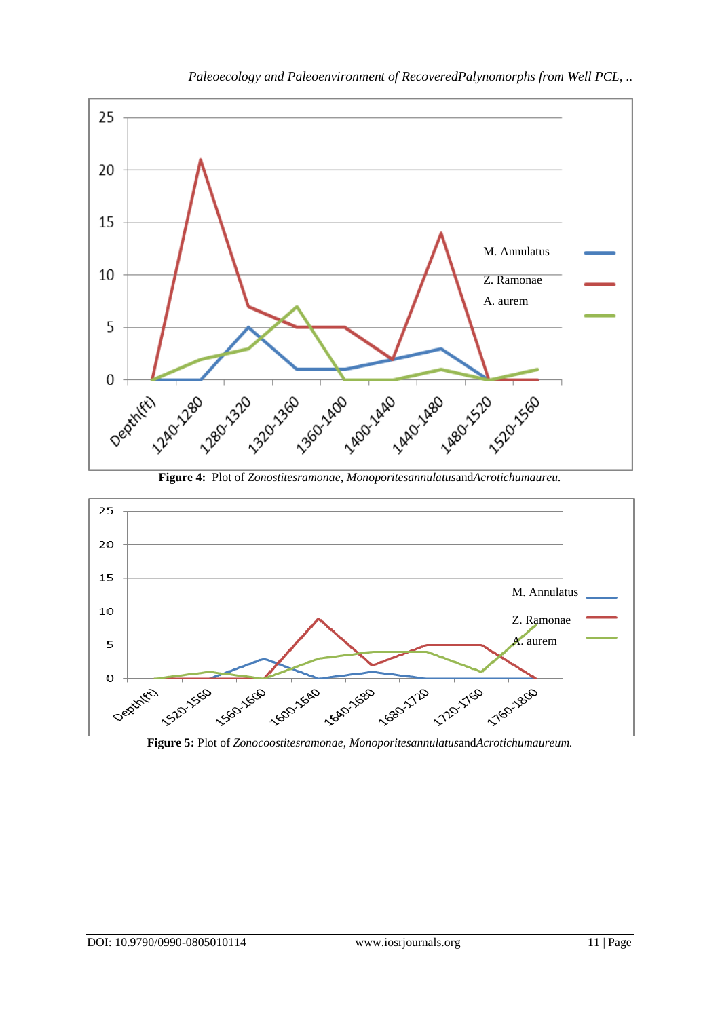

**Figure 4:** Plot of *Zonostitesramonae*, *Monoporitesannulatus*and*Acrotichumaureu.*



**Figure 5:** Plot of *Zonocoostitesramonae*, *Monoporitesannulatus*and*Acrotichumaureum.*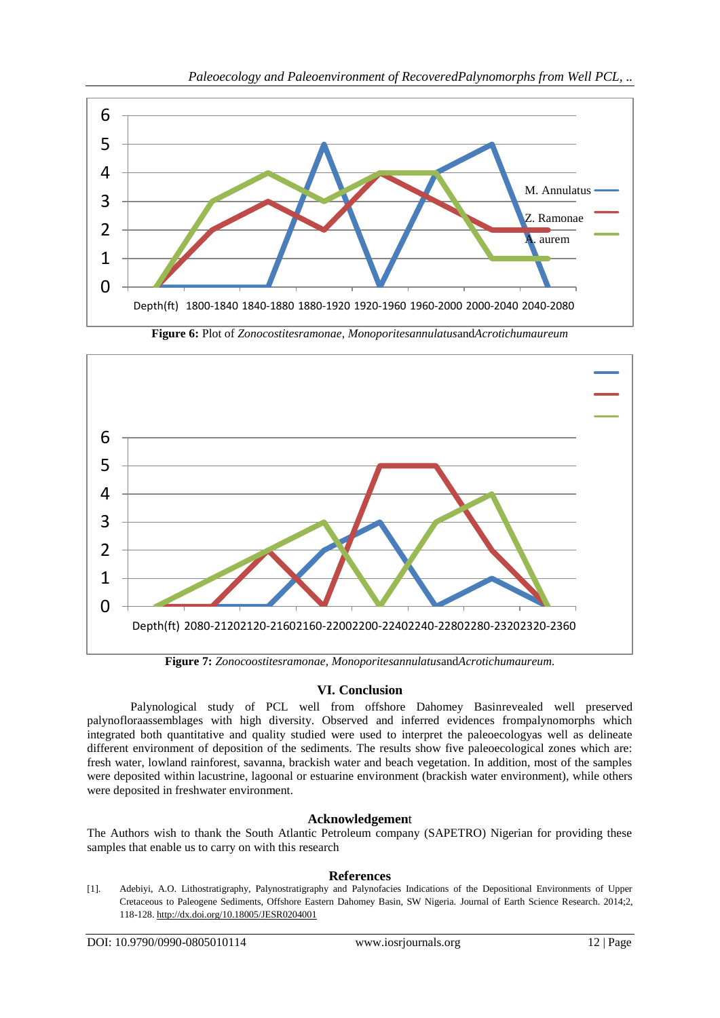

**Figure 6:** Plot of *Zonocostitesramonae*, *Monoporitesannulatus*and*Acrotichumaureum*



# **VI. Conclusion**

Palynological study of PCL well from offshore Dahomey Basinrevealed well preserved palynofloraassemblages with high diversity. Observed and inferred evidences frompalynomorphs which integrated both quantitative and quality studied were used to interpret the paleoecologyas well as delineate different environment of deposition of the sediments. The results show five paleoecological zones which are: fresh water, lowland rainforest, savanna, brackish water and beach vegetation. In addition, most of the samples were deposited within lacustrine, lagoonal or estuarine environment (brackish water environment), while others were deposited in freshwater environment.

# **Acknowledgemen**t

The Authors wish to thank the South Atlantic Petroleum company (SAPETRO) Nigerian for providing these samples that enable us to carry on with this research

# **References**

[1]. Adebiyi, A.O. Lithostratigraphy, Palynostratigraphy and Palynofacies Indications of the Depositional Environments of Upper Cretaceous to Paleogene Sediments, Offshore Eastern Dahomey Basin, SW Nigeria. Journal of Earth Science Research. 2014;2, 118-128[. http://dx.doi.org/10.18005/JESR0204001](http://dx.doi.org/10.18005/JESR0204001)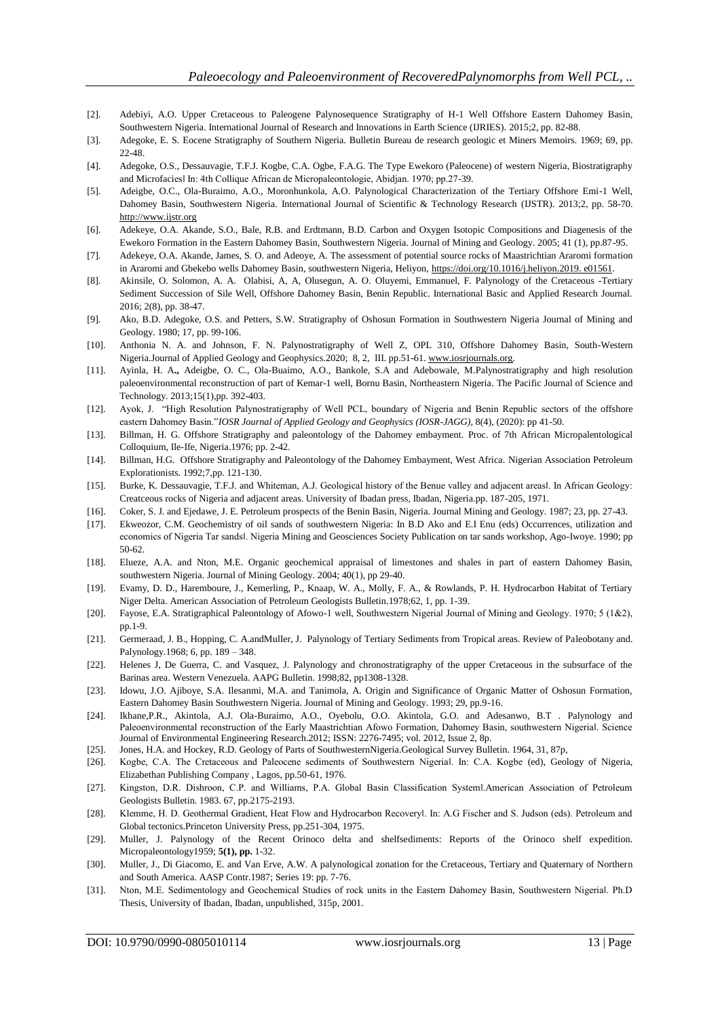- [2]. Adebiyi, A.O. Upper Cretaceous to Paleogene Palynosequence Stratigraphy of H-1 Well Offshore Eastern Dahomey Basin, Southwestern Nigeria. International Journal of Research and Innovations in Earth Science (IJRIES). 2015;2, pp. 82-88.
- [3]. Adegoke, E. S. Eocene Stratigraphy of Southern Nigeria. Bulletin Bureau de research geologic et Miners Memoirs. 1969; 69, pp. 22-48.
- [4]. Adegoke, O.S., Dessauvagie, T.F.J. Kogbe, C.A. Ogbe, F.A.G. The Type Ewekoro (Paleocene) of western Nigeria, Biostratigraphy and Microfacies‖ In: 4th Collique African de Micropaleontologie, Abidjan. 1970; pp.27-39.
- [5]. Adeigbe, O.C., Ola-Buraimo, A.O., Moronhunkola, A.O. Palynological Characterization of the Tertiary Offshore Emi-1 Well, Dahomey Basin, Southwestern Nigeria. International Journal of Scientific & Technology Research (IJSTR). 2013;2, pp. 58-70. [http://www.ijstr.org](http://www.ijstr.org/)
- [6]. Adekeye, O.A. Akande, S.O., Bale, R.B. and Erdtmann, B.D. Carbon and Oxygen Isotopic Compositions and Diagenesis of the Ewekoro Formation in the Eastern Dahomey Basin, Southwestern Nigeria. Journal of Mining and Geology. 2005; 41 (1), pp.87-95.
- [7]. Adekeye, O.A. Akande, James, S. O. and Adeoye, A. The assessment of potential source rocks of Maastrichtian Araromi formation in Araromi and Gbekebo wells Dahomey Basin, southwestern Nigeria, Heliyon, [https://doi.org/10.1016/j.heliyon.2019. e01561.](https://doi.org/10.1016/j.heliyon.2019.%20e01561)
- [8]. Akinsile, O. Solomon, A. A. Olabisi, A, A, Olusegun, A. O. Oluyemi, Emmanuel, F. Palynology of the Cretaceous -Tertiary Sediment Succession of Sile Well, Offshore Dahomey Basin, Benin Republic. International Basic and Applied Research Journal. 2016; 2(8), pp. 38-47.
- [9]. Ako, B.D. Adegoke, O.S. and Petters, S.W. Stratigraphy of Oshosun Formation in Southwestern Nigeria Journal of Mining and Geology. 1980; 17, pp. 99-106.
- [10]. Anthonia N. A. and Johnson, F. N. Palynostratigraphy of Well Z, OPL 310, Offshore Dahomey Basin, South-Western Nigeria.Journal of Applied Geology and Geophysics.2020; 8, 2, III. pp.51-61[. www.iosrjournals.org.](http://www.iosrjournals.org/)
- [11]. Ayinla, H. A**.,** Adeigbe, O. C., Ola-Buaimo, A.O., Bankole, S.A and Adebowale, M.Palynostratigraphy and high resolution paleoenvironmental reconstruction of part of Kemar-1 well, Bornu Basin, Northeastern Nigeria. The Pacific Journal of Science and Technology. 2013;15(1)*,*pp. 392-403.
- [12]. Ayok, J. "High Resolution Palynostratigraphy of Well PCL, boundary of Nigeria and Benin Republic sectors of the offshore eastern Dahomey Basin."*IOSR Journal of Applied Geology and Geophysics (IOSR-JAGG),* 8(4), (2020): pp 41-50.
- [13]. Billman, H. G. Offshore Stratigraphy and paleontology of the Dahomey embayment. Proc. of 7th African Micropalentological Colloquium, Ile-Ife, Nigeria.1976; pp. 2-42.
- [14]. Billman, H.G. Offshore Stratigraphy and Paleontology of the Dahomey Embayment, West Africa. Nigerian Association Petroleum Explorationists. 1992;7,pp. 121-130.
- [15]. Burke, K. Dessauvagie, T.F.J. and Whiteman, A.J. Geological history of the Benue valley and adjacent areasl. In African Geology: Creatceous rocks of Nigeria and adjacent areas. University of Ibadan press, Ibadan, Nigeria.pp. 187-205, 1971.
- [16]. Coker, S. J. and Ejedawe, J. E. Petroleum prospects of the Benin Basin, Nigeria. Journal Mining and Geology. 1987; 23, pp. 27-43.
- [17]. Ekweozor, C.M. Geochemistry of oil sands of southwestern Nigeria: In B.D Ako and E.I Enu (eds) Occurrences, utilization and economics of Nigeria Tar sands‖. Nigeria Mining and Geosciences Society Publication on tar sands workshop, Ago-Iwoye. 1990; pp 50-62.
- [18]. Elueze, A.A. and Nton, M.E. Organic geochemical appraisal of limestones and shales in part of eastern Dahomey Basin, southwestern Nigeria. Journal of Mining Geology. 2004; 40(1), pp 29-40.
- [19]. Evamy, D. D., Haremboure, J., Kemerling, P., Knaap, W. A., Molly, F. A., & Rowlands, P. H. Hydrocarbon Habitat of Tertiary Niger Delta. American Association of Petroleum Geologists Bulletin.1978;62, 1, pp. 1-39.
- [20]. Fayose, E.A. Stratigraphical Paleontology of Afowo-1 well, Southwestern Nigerial Journal of Mining and Geology. 1970; 5 (1&2), pp.1-9.
- [21]. Germeraad, J. B., Hopping, C. A.andMulIer, J. Palynology of Tertiary Sediments from Tropical areas. Review of Paleobotany and. Palynology.1968; 6, pp. 189 – 348.
- [22]. Helenes J, De Guerra, C. and Vasquez, J. Palynology and chronostratigraphy of the upper Cretaceous in the subsurface of the Barinas area. Western Venezuela. AAPG Bulletin. 1998;82, pp1308-1328.
- [23]. Idowu, J.O. Ajiboye, S.A. Ilesanmi, M.A. and Tanimola, A. Origin and Significance of Organic Matter of Oshosun Formation, Eastern Dahomey Basin Southwestern Nigeria. Journal of Mining and Geology. 1993; 29, pp.9-16.
- [24]. Ikhane,P.R., Akintola, A.J. Ola-Buraimo, A.O., Oyebolu, O.O. Akintola, G.O. and Adesanwo, B.T . Palynology and Paleoenvironmental reconstruction of the Early Maastrichtian Afowo Formation, Dahomey Basin, southwestern Nigerial. Science Journal of Environmental Engineering Research.2012; ISSN: 2276-7495; vol. 2012, Issue 2, 8p.
- [25]. Jones, H.A. and Hockey, R.D. Geology of Parts of SouthwesternNigeria.Geological Survey Bulletin. 1964, 31, 87p,
- [26]. Kogbe, C.A. The Cretaceous and Paleocene sediments of Southwestern Nigerial. In: C.A. Kogbe (ed), Geology of Nigeria, Elizabethan Publishing Company , Lagos, pp.50-61, 1976.
- [27]. Kingston, D.R. Dishroon, C.P. and Williams, P.A. Global Basin Classification System American Association of Petroleum Geologists Bulletin. 1983. 67, pp.2175-2193.
- [28]. Klemme, H. D. Geothermal Gradient, Heat Flow and Hydrocarbon Recoveryl. In: A.G Fischer and S. Judson (eds). Petroleum and Global tectonics.Princeton University Press, pp.251-304, 1975.
- [29]. Muller, J. Palynology of the Recent Orinoco delta and shelfsediments: Reports of the Orinoco shelf expedition. Micropaleontology1959; **5(1), pp.** 1-32.
- [30]. Muller, J., Di Giacomo, E. and Van Erve, A.W. A palynological zonation for the Cretaceous, Tertiary and Quaternary of Northern and South America. AASP Contr.1987; Series 19: pp. 7-76.
- [31]. Nton, M.E. Sedimentology and Geochemical Studies of rock units in the Eastern Dahomey Basin, Southwestern Nigerial. Ph.D Thesis, University of Ibadan, Ibadan, unpublished, 315p, 2001.